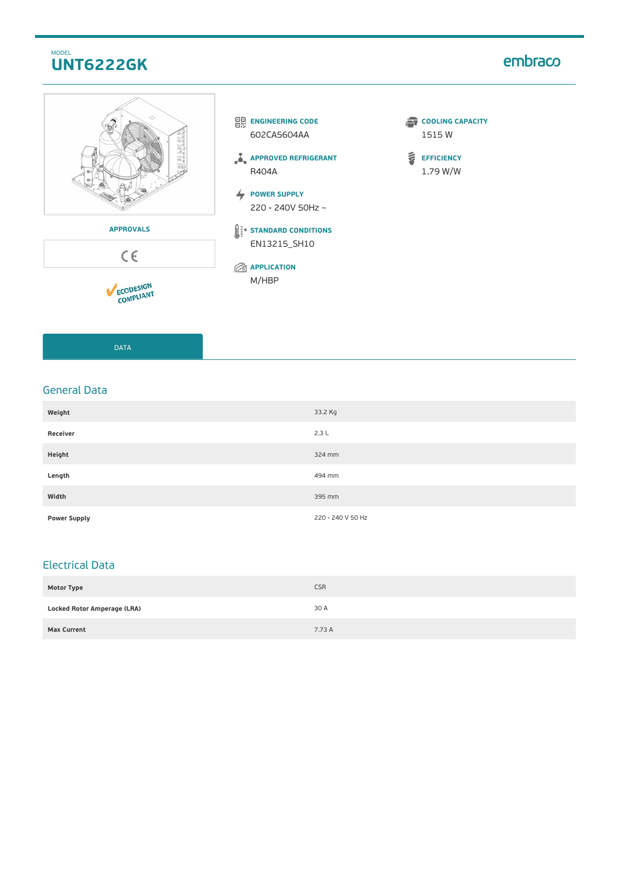## MODEL **UNT6222GK**

# embraco



DATA

### General Data

| Weight              | 33.2 Kg           |
|---------------------|-------------------|
| Receiver            | 2.3L              |
| Height              | 324 mm            |
| Length              | 494 mm            |
| Width               | 395 mm            |
| <b>Power Supply</b> | 220 - 240 V 50 Hz |

## Electrical Data

| <b>Motor Type</b>                  | <b>CSR</b> |
|------------------------------------|------------|
| <b>Locked Rotor Amperage (LRA)</b> | 30 A       |
| <b>Max Current</b>                 | 7.73 A     |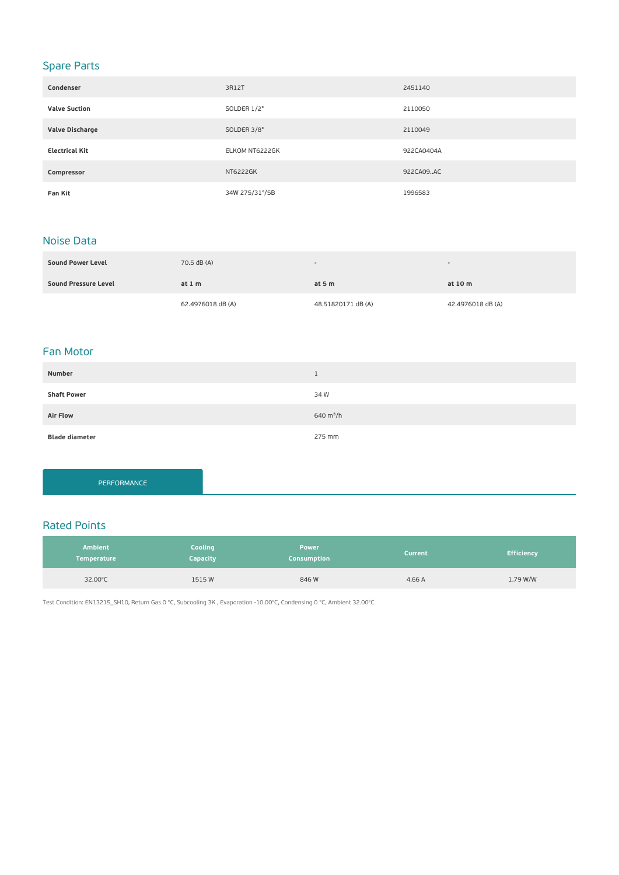# Spare Parts

| Condenser             | 3R12T           | 2451140    |
|-----------------------|-----------------|------------|
| <b>Valve Suction</b>  | SOLDER 1/2"     | 2110050    |
| Valve Discharge       | SOLDER 3/8"     | 2110049    |
| <b>Electrical Kit</b> | ELKOM NT6222GK  | 922CA0404A |
| Compressor            | <b>NT6222GK</b> | 922CA09AC  |
| <b>Fan Kit</b>        | 34W 275/31°/5B  | 1996583    |

### Noise Data

| <b>Sound Power Level</b> | 70.5 dB (A)       | $\overline{\phantom{a}}$ |                   |
|--------------------------|-------------------|--------------------------|-------------------|
| Sound Pressure Level     | at $1m$           | at $5m$                  | at 10 m           |
|                          | 62.4976018 dB (A) | 48.51820171 dB (A)       | 42.4976018 dB (A) |

#### Fan Motor

| Number                |             |
|-----------------------|-------------|
| <b>Shaft Power</b>    | 34 W        |
| <b>Air Flow</b>       | 640 $m^3/h$ |
| <b>Blade diameter</b> | 275 mm      |

PERFORMANCE

### Rated Points

| <b>Ambient</b><br><b>Temperature</b> | Cooling<br>Capacity | <b>Power</b><br><b>Consumption</b> | <b>Current</b> | <b>Efficiency</b> |
|--------------------------------------|---------------------|------------------------------------|----------------|-------------------|
| 32.00°C                              | 1515W               | 846 W                              | 4.66 A         | 1.79 W/W          |

Test Condition: EN13215\_SH10, Return Gas 0 °C, Subcooling 3K , Evaporation -10.00°C, Condensing 0 °C, Ambient 32.00°C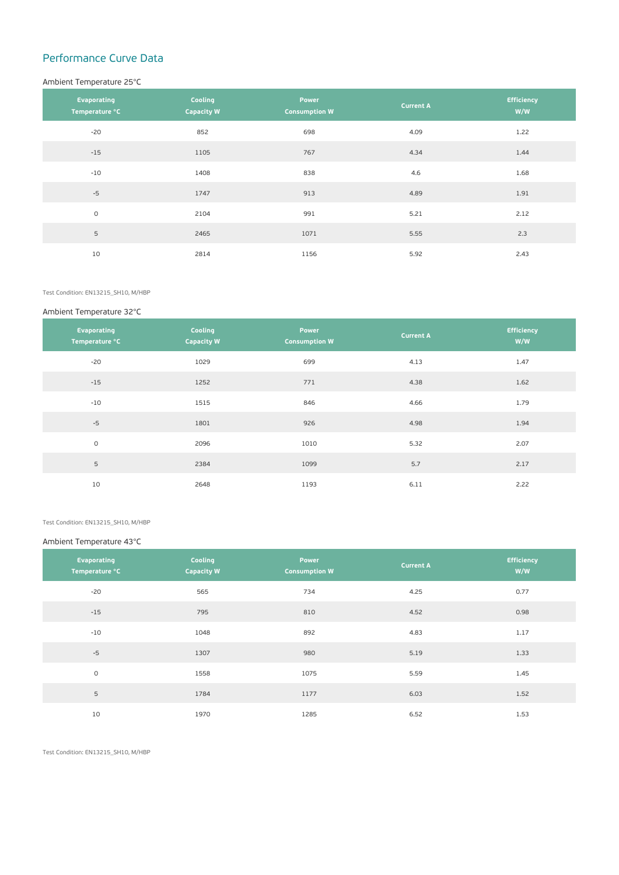# Performance Curve Data

#### Ambient Temperature 25°C

| Evaporating<br>Temperature °C | Cooling<br><b>Capacity W</b> | <b>Power</b><br><b>Consumption W</b> | <b>Current A</b> | <b>Efficiency</b><br>W/W |
|-------------------------------|------------------------------|--------------------------------------|------------------|--------------------------|
| $-20$                         | 852                          | 698                                  | 4.09             | 1.22                     |
| $-15$                         | 1105                         | 767                                  | 4.34             | 1.44                     |
| $-10$                         | 1408                         | 838                                  | 4.6              | 1.68                     |
| $-5$                          | 1747                         | 913                                  | 4.89             | 1.91                     |
| $\circ$                       | 2104                         | 991                                  | 5.21             | 2.12                     |
| 5                             | 2465                         | 1071                                 | 5.55             | 2.3                      |
| 10                            | 2814                         | 1156                                 | 5.92             | 2.43                     |

Test Condition: EN13215\_SH10, M/HBP

#### Ambient Temperature 32°C

| Evaporating<br>Temperature °C | Cooling<br><b>Capacity W</b> | Power<br><b>Consumption W</b> | <b>Current A</b> | <b>Efficiency</b><br>W/W |
|-------------------------------|------------------------------|-------------------------------|------------------|--------------------------|
| $-20$                         | 1029                         | 699                           | 4.13             | 1.47                     |
| $-15$                         | 1252                         | 771                           | 4.38             | 1.62                     |
| $-10$                         | 1515                         | 846                           | 4.66             | 1.79                     |
| $-5$                          | 1801                         | 926                           | 4.98             | 1.94                     |
| $\circ$                       | 2096                         | 1010                          | 5.32             | 2.07                     |
| 5                             | 2384                         | 1099                          | 5.7              | 2.17                     |
| 10                            | 2648                         | 1193                          | 6.11             | 2.22                     |

Test Condition: EN13215\_SH10, M/HBP

#### Ambient Temperature 43°C

| Evaporating<br>Temperature °C | Cooling<br><b>Capacity W</b> | Power<br><b>Consumption W</b> | <b>Current A</b> | <b>Efficiency</b><br>W/W |
|-------------------------------|------------------------------|-------------------------------|------------------|--------------------------|
| $-20$                         | 565                          | 734                           | 4.25             | 0.77                     |
| $-15$                         | 795                          | 810                           | 4.52             | 0.98                     |
| $-10$                         | 1048                         | 892                           | 4.83             | 1.17                     |
| $-5$                          | 1307                         | 980                           | 5.19             | 1.33                     |
| $\circ$                       | 1558                         | 1075                          | 5.59             | 1.45                     |
| 5                             | 1784                         | 1177                          | 6.03             | 1.52                     |
| 10                            | 1970                         | 1285                          | 6.52             | 1.53                     |

Test Condition: EN13215\_SH10, M/HBP